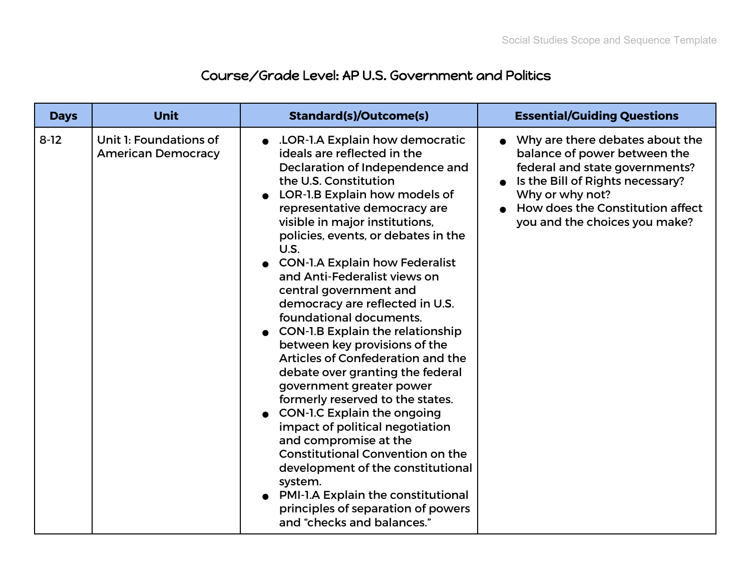## Course/Grade Level: AP U.S. Government and Politics

| <b>Days</b> | <b>Unit</b>                                         | <b>Standard(s)/Outcome(s)</b>                                                                                                                                                                                                                                                                                                                                                                                                                                                                                                                                                                                                                                                                                                                                                                                                                                                                                                                                                      | <b>Essential/Guiding Questions</b>                                                                                                                                                                                              |
|-------------|-----------------------------------------------------|------------------------------------------------------------------------------------------------------------------------------------------------------------------------------------------------------------------------------------------------------------------------------------------------------------------------------------------------------------------------------------------------------------------------------------------------------------------------------------------------------------------------------------------------------------------------------------------------------------------------------------------------------------------------------------------------------------------------------------------------------------------------------------------------------------------------------------------------------------------------------------------------------------------------------------------------------------------------------------|---------------------------------------------------------------------------------------------------------------------------------------------------------------------------------------------------------------------------------|
| $8 - 12$    | Unit 1: Foundations of<br><b>American Democracy</b> | • LOR-1.A Explain how democratic<br>ideals are reflected in the<br>Declaration of Independence and<br>the U.S. Constitution<br>LOR-1.B Explain how models of<br>representative democracy are<br>visible in major institutions,<br>policies, events, or debates in the<br>U.S.<br><b>CON-1.A Explain how Federalist</b><br>and Anti-Federalist views on<br>central government and<br>democracy are reflected in U.S.<br>foundational documents.<br>• CON-1.B Explain the relationship<br>between key provisions of the<br>Articles of Confederation and the<br>debate over granting the federal<br>government greater power<br>formerly reserved to the states.<br><b>CON-1.C Explain the ongoing</b><br>$\bullet$<br>impact of political negotiation<br>and compromise at the<br><b>Constitutional Convention on the</b><br>development of the constitutional<br>system.<br>PMI-1.A Explain the constitutional<br>principles of separation of powers<br>and "checks and balances." | • Why are there debates about the<br>balance of power between the<br>federal and state governments?<br>Is the Bill of Rights necessary?<br>Why or why not?<br>How does the Constitution affect<br>you and the choices you make? |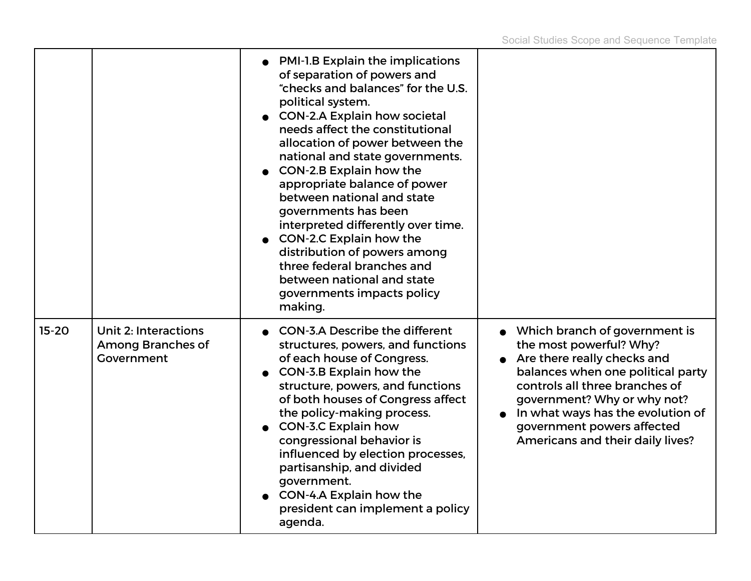|           |                                                                       | • PMI-1.B Explain the implications<br>of separation of powers and<br>"checks and balances" for the U.S.<br>political system.<br>• CON-2.A Explain how societal<br>needs affect the constitutional<br>allocation of power between the<br>national and state governments.<br>CON-2.B Explain how the<br>appropriate balance of power<br>between national and state<br>governments has been<br>interpreted differently over time.<br>CON-2.C Explain how the<br>distribution of powers among<br>three federal branches and<br>between national and state<br>governments impacts policy<br>making. |                                                                                                                                                                                                                                                                                                        |
|-----------|-----------------------------------------------------------------------|------------------------------------------------------------------------------------------------------------------------------------------------------------------------------------------------------------------------------------------------------------------------------------------------------------------------------------------------------------------------------------------------------------------------------------------------------------------------------------------------------------------------------------------------------------------------------------------------|--------------------------------------------------------------------------------------------------------------------------------------------------------------------------------------------------------------------------------------------------------------------------------------------------------|
| $15 - 20$ | <b>Unit 2: Interactions</b><br><b>Among Branches of</b><br>Government | <b>CON-3.A Describe the different</b><br>structures, powers, and functions<br>of each house of Congress.<br>CON-3.B Explain how the<br>structure, powers, and functions<br>of both houses of Congress affect<br>the policy-making process.<br><b>CON-3.C Explain how</b><br>congressional behavior is<br>influenced by election processes,<br>partisanship, and divided<br>government.<br>CON-4.A Explain how the<br>president can implement a policy<br>agenda.                                                                                                                               | • Which branch of government is<br>the most powerful? Why?<br>Are there really checks and<br>balances when one political party<br>controls all three branches of<br>government? Why or why not?<br>In what ways has the evolution of<br>government powers affected<br>Americans and their daily lives? |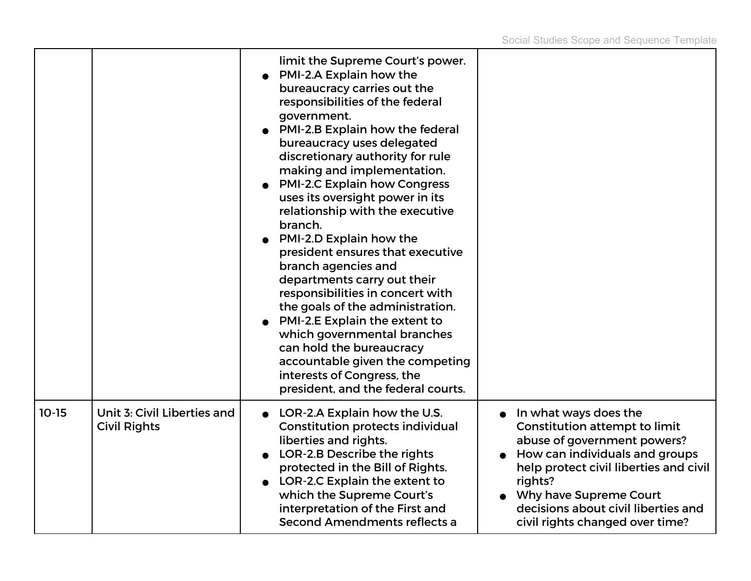|         |                                                    | limit the Supreme Court's power.<br>PMI-2.A Explain how the<br>bureaucracy carries out the<br>responsibilities of the federal<br>government.<br>PMI-2.B Explain how the federal<br>bureaucracy uses delegated<br>discretionary authority for rule<br>making and implementation.<br><b>PMI-2.C Explain how Congress</b><br>uses its oversight power in its<br>relationship with the executive<br>branch.<br>PMI-2.D Explain how the<br>president ensures that executive<br>branch agencies and<br>departments carry out their<br>responsibilities in concert with<br>the goals of the administration.<br>PMI-2.E Explain the extent to<br>which governmental branches<br>can hold the bureaucracy<br>accountable given the competing<br>interests of Congress, the<br>president, and the federal courts. |                                                                                                                                                                                                                                                                                         |
|---------|----------------------------------------------------|---------------------------------------------------------------------------------------------------------------------------------------------------------------------------------------------------------------------------------------------------------------------------------------------------------------------------------------------------------------------------------------------------------------------------------------------------------------------------------------------------------------------------------------------------------------------------------------------------------------------------------------------------------------------------------------------------------------------------------------------------------------------------------------------------------|-----------------------------------------------------------------------------------------------------------------------------------------------------------------------------------------------------------------------------------------------------------------------------------------|
| $10-15$ | Unit 3: Civil Liberties and<br><b>Civil Rights</b> | LOR-2.A Explain how the U.S.<br><b>Constitution protects individual</b><br>liberties and rights.<br>LOR-2.B Describe the rights<br>protected in the Bill of Rights.<br>LOR-2.C Explain the extent to<br>which the Supreme Court's<br>interpretation of the First and<br>Second Amendments reflects a                                                                                                                                                                                                                                                                                                                                                                                                                                                                                                    | In what ways does the<br><b>Constitution attempt to limit</b><br>abuse of government powers?<br>How can individuals and groups<br>help protect civil liberties and civil<br>rights?<br>Why have Supreme Court<br>decisions about civil liberties and<br>civil rights changed over time? |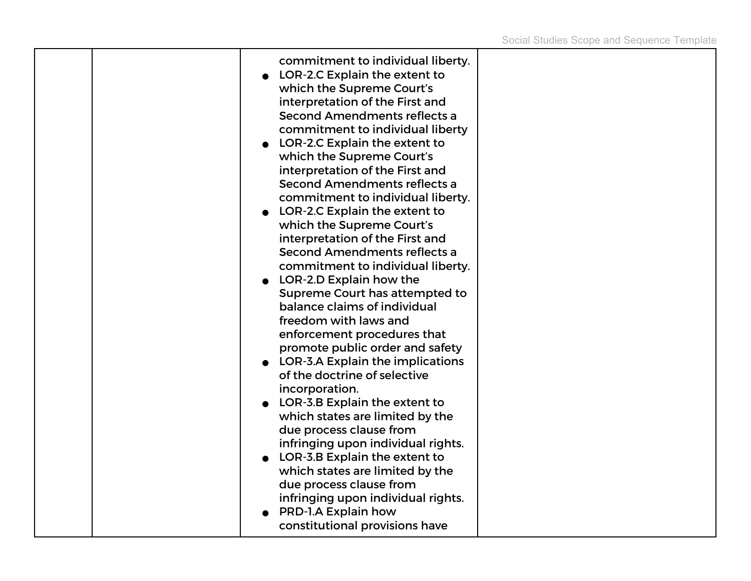| due process clause from<br>infringing upon individual rights.<br>PRD-1.A Explain how |
|--------------------------------------------------------------------------------------|
|--------------------------------------------------------------------------------------|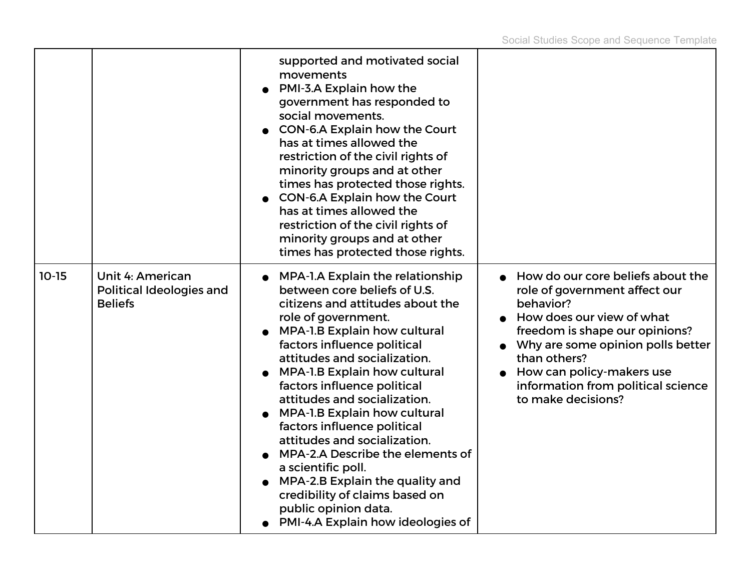|         |                                                                              | supported and motivated social<br>movements<br>PMI-3.A Explain how the<br>government has responded to<br>social movements.<br>CON-6.A Explain how the Court<br>has at times allowed the<br>restriction of the civil rights of<br>minority groups and at other<br>times has protected those rights.<br>CON-6.A Explain how the Court<br>has at times allowed the<br>restriction of the civil rights of<br>minority groups and at other<br>times has protected those rights.                                                                                                                                                                       |                                                                                                                                                                                                                                                                                              |
|---------|------------------------------------------------------------------------------|--------------------------------------------------------------------------------------------------------------------------------------------------------------------------------------------------------------------------------------------------------------------------------------------------------------------------------------------------------------------------------------------------------------------------------------------------------------------------------------------------------------------------------------------------------------------------------------------------------------------------------------------------|----------------------------------------------------------------------------------------------------------------------------------------------------------------------------------------------------------------------------------------------------------------------------------------------|
| $10-15$ | <b>Unit 4: American</b><br><b>Political Ideologies and</b><br><b>Beliefs</b> | <b>MPA-1.A Explain the relationship</b><br>between core beliefs of U.S.<br>citizens and attitudes about the<br>role of government.<br><b>MPA-1.B Explain how cultural</b><br>factors influence political<br>attitudes and socialization.<br><b>MPA-1.B Explain how cultural</b><br>factors influence political<br>attitudes and socialization.<br><b>MPA-1.B Explain how cultural</b><br>factors influence political<br>attitudes and socialization.<br>MPA-2.A Describe the elements of<br>a scientific poll.<br>MPA-2.B Explain the quality and<br>credibility of claims based on<br>public opinion data.<br>PMI-4.A Explain how ideologies of | How do our core beliefs about the<br>role of government affect our<br>behavior?<br>How does our view of what<br>freedom is shape our opinions?<br>Why are some opinion polls better<br>than others?<br>How can policy-makers use<br>information from political science<br>to make decisions? |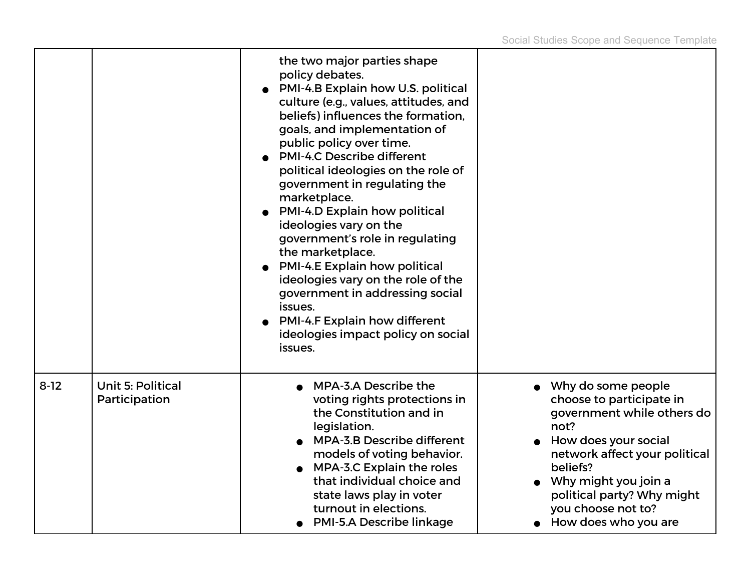|        |                                           | the two major parties shape<br>policy debates.<br>PMI-4.B Explain how U.S. political<br>culture (e.g., values, attitudes, and<br>beliefs) influences the formation,<br>goals, and implementation of<br>public policy over time.<br><b>PMI-4.C Describe different</b><br>political ideologies on the role of<br>government in regulating the<br>marketplace.<br><b>PMI-4.D Explain how political</b><br>ideologies vary on the<br>government's role in regulating<br>the marketplace.<br><b>PMI-4.E Explain how political</b><br>ideologies vary on the role of the<br>government in addressing social<br>issues.<br><b>PMI-4.F Explain how different</b><br>ideologies impact policy on social<br>issues. |                                                                                                                                                                                                                                                                 |
|--------|-------------------------------------------|-----------------------------------------------------------------------------------------------------------------------------------------------------------------------------------------------------------------------------------------------------------------------------------------------------------------------------------------------------------------------------------------------------------------------------------------------------------------------------------------------------------------------------------------------------------------------------------------------------------------------------------------------------------------------------------------------------------|-----------------------------------------------------------------------------------------------------------------------------------------------------------------------------------------------------------------------------------------------------------------|
| $8-12$ | <b>Unit 5: Political</b><br>Participation | MPA-3.A Describe the<br>voting rights protections in<br>the Constitution and in<br>legislation.<br><b>MPA-3.B Describe different</b><br>models of voting behavior.<br>MPA-3.C Explain the roles<br>that individual choice and<br>state laws play in voter<br>turnout in elections.<br><b>PMI-5.A Describe linkage</b>                                                                                                                                                                                                                                                                                                                                                                                     | • Why do some people<br>choose to participate in<br>government while others do<br>not?<br>How does your social<br>network affect your political<br>beliefs?<br>Why might you join a<br>political party? Why might<br>you choose not to?<br>How does who you are |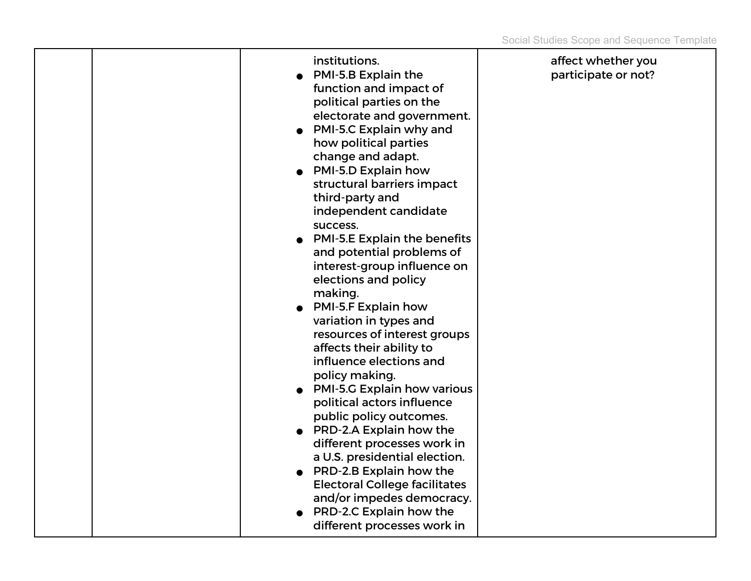| institutions.<br>PMI-5.B Explain the<br>function and impact of<br>political parties on the<br>electorate and government.<br>PMI-5.C Explain why and<br>how political parties<br>change and adapt.<br>• PMI-5.D Explain how<br>structural barriers impact<br>third-party and<br>independent candidate<br>success.<br><b>PMI-5.E Explain the benefits</b><br>and potential problems of<br>interest-group influence on<br>elections and policy<br>making.<br>• PMI-5.F Explain how<br>variation in types and<br>resources of interest groups<br>affects their ability to<br>influence elections and<br>policy making.<br>• PMI-5.G Explain how various<br>political actors influence<br>public policy outcomes.<br>• PRD-2.A Explain how the<br>different processes work in<br>a U.S. presidential election.<br>• PRD-2.B Explain how the<br><b>Electoral College facilitates</b><br>and/or impedes democracy. | affect whether you<br>participate or not? |
|-------------------------------------------------------------------------------------------------------------------------------------------------------------------------------------------------------------------------------------------------------------------------------------------------------------------------------------------------------------------------------------------------------------------------------------------------------------------------------------------------------------------------------------------------------------------------------------------------------------------------------------------------------------------------------------------------------------------------------------------------------------------------------------------------------------------------------------------------------------------------------------------------------------|-------------------------------------------|
| PRD-2.C Explain how the<br>different processes work in                                                                                                                                                                                                                                                                                                                                                                                                                                                                                                                                                                                                                                                                                                                                                                                                                                                      |                                           |